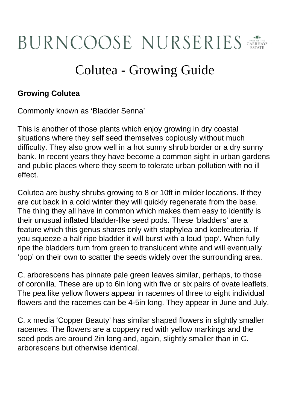## BURNCOOSE NURSERIES

## Colutea - Growing Guide

## **Growing Colutea**

Commonly known as 'Bladder Senna'

This is another of those plants which enjoy growing in dry coastal situations where they self seed themselves copiously without much difficulty. They also grow well in a hot sunny shrub border or a dry sunny bank. In recent years they have become a common sight in urban gardens and public places where they seem to tolerate urban pollution with no ill effect.

Colutea are bushy shrubs growing to 8 or 10ft in milder locations. If they are cut back in a cold winter they will quickly regenerate from the base. The thing they all have in common which makes them easy to identify is their unusual inflated bladder-like seed pods. These 'bladders' are a feature which this genus shares only with staphylea and koelreuteria. If you squeeze a half ripe bladder it will burst with a loud 'pop'. When fully ripe the bladders turn from green to translucent white and will eventually 'pop' on their own to scatter the seeds widely over the surrounding area.

C. arborescens has pinnate pale green leaves similar, perhaps, to those of coronilla. These are up to 6in long with five or six pairs of ovate leaflets. The pea like yellow flowers appear in racemes of three to eight individual flowers and the racemes can be 4-5in long. They appear in June and July.

C. x media 'Copper Beauty' has similar shaped flowers in slightly smaller racemes. The flowers are a coppery red with yellow markings and the seed pods are around 2in long and, again, slightly smaller than in C. arborescens but otherwise identical.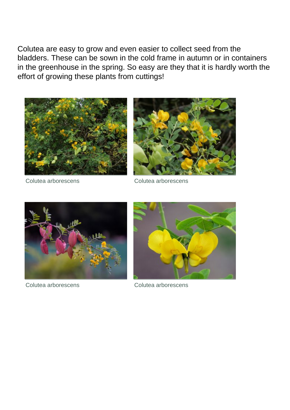Colutea are easy to grow and even easier to collect seed from the bladders. These can be sown in the cold frame in autumn or in containers in the greenhouse in the spring. So easy are they that it is hardly worth the effort of growing these plants from cuttings!





Colutea arborescens Colutea arborescens





Colutea arborescens Colutea arborescens